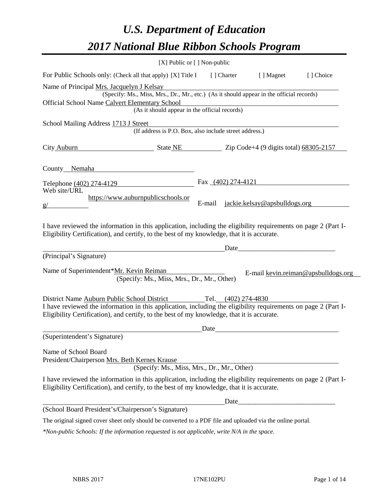# *U.S. Department of Education 2017 National Blue Ribbon Schools Program*

|                                                                                                                                                                                                              | $[X]$ Public or $[ ]$ Non-public                                                         |                                         |                     |                      |                                     |
|--------------------------------------------------------------------------------------------------------------------------------------------------------------------------------------------------------------|------------------------------------------------------------------------------------------|-----------------------------------------|---------------------|----------------------|-------------------------------------|
| For Public Schools only: (Check all that apply) [X] Title I                                                                                                                                                  |                                                                                          |                                         | [ ] Charter         | [ ] Magnet           | [] Choice                           |
| Name of Principal Mrs. Jacquelyn J Kelsay                                                                                                                                                                    |                                                                                          |                                         |                     |                      |                                     |
|                                                                                                                                                                                                              | (Specify: Ms., Miss, Mrs., Dr., Mr., etc.) (As it should appear in the official records) |                                         |                     |                      |                                     |
| Official School Name Calvert Elementary School                                                                                                                                                               | (As it should appear in the official records)                                            |                                         |                     |                      |                                     |
|                                                                                                                                                                                                              |                                                                                          |                                         |                     |                      |                                     |
| School Mailing Address 1713 J Street                                                                                                                                                                         | Succured (If address is P.O. Box, also include street address.)                          |                                         |                     |                      |                                     |
| City Auburn State NE State NE Zip Code+4 (9 digits total) 68305-2157                                                                                                                                         |                                                                                          |                                         |                     |                      |                                     |
| County_Nemaha                                                                                                                                                                                                |                                                                                          |                                         |                     |                      |                                     |
| Telephone (402) 274-4129                                                                                                                                                                                     |                                                                                          |                                         |                     | Fax $(402)$ 274-4121 |                                     |
| Web site/URL                                                                                                                                                                                                 | https://www.auburnpublicschools.or                                                       |                                         |                     |                      |                                     |
| g/                                                                                                                                                                                                           |                                                                                          | jackie.kelsay@apsbulldogs.org<br>E-mail |                     |                      |                                     |
| I have reviewed the information in this application, including the eligibility requirements on page 2 (Part I-<br>Eligibility Certification), and certify, to the best of my knowledge, that it is accurate. |                                                                                          |                                         |                     |                      |                                     |
| (Principal's Signature)                                                                                                                                                                                      |                                                                                          |                                         |                     |                      |                                     |
| Name of Superintendent*Mr. Kevin Reiman                                                                                                                                                                      | (Specify: Ms., Miss, Mrs., Dr., Mr., Other)                                              |                                         |                     |                      | E-mail kevin.reiman@apsbulldogs.org |
| District Name Auburn Public School District                                                                                                                                                                  |                                                                                          |                                         | Tel. (402) 274-4830 |                      |                                     |
| I have reviewed the information in this application, including the eligibility requirements on page 2 (Part I-<br>Eligibility Certification), and certify, to the best of my knowledge, that it is accurate. |                                                                                          |                                         |                     |                      |                                     |
|                                                                                                                                                                                                              |                                                                                          | Date                                    |                     |                      |                                     |
| (Superintendent's Signature)                                                                                                                                                                                 |                                                                                          |                                         |                     |                      |                                     |
| Name of School Board<br>President/Chairperson Mrs. Beth Kernes Krause                                                                                                                                        | (Specify: Ms., Miss, Mrs., Dr., Mr., Other)                                              |                                         |                     |                      |                                     |
| I have reviewed the information in this application, including the eligibility requirements on page 2 (Part I-<br>Eligibility Certification), and certify, to the best of my knowledge, that it is accurate. |                                                                                          |                                         |                     |                      |                                     |
|                                                                                                                                                                                                              |                                                                                          |                                         |                     |                      |                                     |
| (School Board President's/Chairperson's Signature)                                                                                                                                                           |                                                                                          |                                         |                     |                      |                                     |
| The original signed cover sheet only should be converted to a PDF file and uploaded via the online portal.                                                                                                   |                                                                                          |                                         |                     |                      |                                     |

*\*Non-public Schools: If the information requested is not applicable, write N/A in the space.*

 $\overline{\phantom{0}}$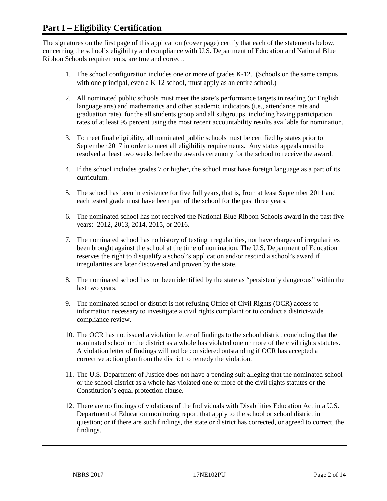## **Part I – Eligibility Certification**

The signatures on the first page of this application (cover page) certify that each of the statements below, concerning the school's eligibility and compliance with U.S. Department of Education and National Blue Ribbon Schools requirements, are true and correct.

- 1. The school configuration includes one or more of grades K-12. (Schools on the same campus with one principal, even a K-12 school, must apply as an entire school.)
- 2. All nominated public schools must meet the state's performance targets in reading (or English language arts) and mathematics and other academic indicators (i.e., attendance rate and graduation rate), for the all students group and all subgroups, including having participation rates of at least 95 percent using the most recent accountability results available for nomination.
- 3. To meet final eligibility, all nominated public schools must be certified by states prior to September 2017 in order to meet all eligibility requirements. Any status appeals must be resolved at least two weeks before the awards ceremony for the school to receive the award.
- 4. If the school includes grades 7 or higher, the school must have foreign language as a part of its curriculum.
- 5. The school has been in existence for five full years, that is, from at least September 2011 and each tested grade must have been part of the school for the past three years.
- 6. The nominated school has not received the National Blue Ribbon Schools award in the past five years: 2012, 2013, 2014, 2015, or 2016.
- 7. The nominated school has no history of testing irregularities, nor have charges of irregularities been brought against the school at the time of nomination. The U.S. Department of Education reserves the right to disqualify a school's application and/or rescind a school's award if irregularities are later discovered and proven by the state.
- 8. The nominated school has not been identified by the state as "persistently dangerous" within the last two years.
- 9. The nominated school or district is not refusing Office of Civil Rights (OCR) access to information necessary to investigate a civil rights complaint or to conduct a district-wide compliance review.
- 10. The OCR has not issued a violation letter of findings to the school district concluding that the nominated school or the district as a whole has violated one or more of the civil rights statutes. A violation letter of findings will not be considered outstanding if OCR has accepted a corrective action plan from the district to remedy the violation.
- 11. The U.S. Department of Justice does not have a pending suit alleging that the nominated school or the school district as a whole has violated one or more of the civil rights statutes or the Constitution's equal protection clause.
- 12. There are no findings of violations of the Individuals with Disabilities Education Act in a U.S. Department of Education monitoring report that apply to the school or school district in question; or if there are such findings, the state or district has corrected, or agreed to correct, the findings.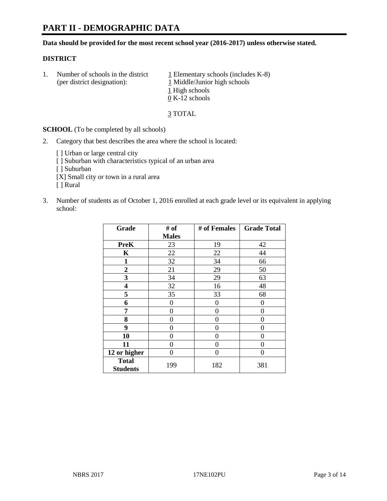# **PART II - DEMOGRAPHIC DATA**

**Data should be provided for the most recent school year (2016-2017) unless otherwise stated.** 

#### **DISTRICT**

1. Number of schools in the district  $1$  Elementary schools (includes K-8) (per district designation): 1 Middle/Junior high schools 1 High schools 0 K-12 schools

3 TOTAL

**SCHOOL** (To be completed by all schools)

2. Category that best describes the area where the school is located:

[] Urban or large central city [ ] Suburban with characteristics typical of an urban area [ ] Suburban [X] Small city or town in a rural area [ ] Rural

3. Number of students as of October 1, 2016 enrolled at each grade level or its equivalent in applying school:

| Grade                           | # of         | # of Females | <b>Grade Total</b> |
|---------------------------------|--------------|--------------|--------------------|
|                                 | <b>Males</b> |              |                    |
| <b>PreK</b>                     | 23           | 19           | 42                 |
| K                               | 22           | 22           | 44                 |
| $\mathbf{1}$                    | 32           | 34           | 66                 |
| $\boldsymbol{2}$                | 21           | 29           | 50                 |
| 3                               | 34           | 29           | 63                 |
| 4                               | 32           | 16           | 48                 |
| 5                               | 35           | 33           | 68                 |
| 6                               | 0            | 0            | 0                  |
| 7                               | 0            | 0            | 0                  |
| 8                               | 0            | 0            | 0                  |
| 9                               | 0            | 0            | 0                  |
| 10                              | 0            | 0            | 0                  |
| 11                              | 0            | 0            | 0                  |
| 12 or higher                    | 0            | 0            | 0                  |
| <b>Total</b><br><b>Students</b> | 199          | 182          | 381                |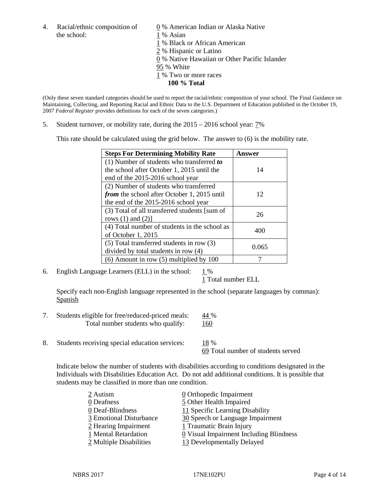4. Racial/ethnic composition of  $\qquad \qquad \underline{0}$  % American Indian or Alaska Native the school: 1 % Asian

 % Black or African American % Hispanic or Latino % Native Hawaiian or Other Pacific Islander 95 % White % Two or more races **100 % Total**

(Only these seven standard categories should be used to report the racial/ethnic composition of your school. The Final Guidance on Maintaining, Collecting, and Reporting Racial and Ethnic Data to the U.S. Department of Education published in the October 19, 2007 *Federal Register* provides definitions for each of the seven categories.)

5. Student turnover, or mobility rate, during the 2015 – 2016 school year: 7%

This rate should be calculated using the grid below. The answer to (6) is the mobility rate.

| <b>Steps For Determining Mobility Rate</b>         | Answer |  |
|----------------------------------------------------|--------|--|
| (1) Number of students who transferred to          |        |  |
| the school after October 1, 2015 until the         | 14     |  |
| end of the 2015-2016 school year                   |        |  |
| (2) Number of students who transferred             |        |  |
| <i>from</i> the school after October 1, 2015 until | 12     |  |
| the end of the 2015-2016 school year               |        |  |
| (3) Total of all transferred students [sum of      | 26     |  |
| rows $(1)$ and $(2)$ ]                             |        |  |
| (4) Total number of students in the school as      |        |  |
| of October 1, 2015                                 | 400    |  |
| (5) Total transferred students in row (3)          |        |  |
| divided by total students in row (4)               | 0.065  |  |
| $(6)$ Amount in row $(5)$ multiplied by 100        |        |  |

6. English Language Learners (ELL) in the school:  $1\%$ 

1 Total number ELL

Specify each non-English language represented in the school (separate languages by commas): **Spanish** 

- 7. Students eligible for free/reduced-priced meals: 44 % Total number students who qualify: 160
- 8. Students receiving special education services: 18 %

69 Total number of students served

Indicate below the number of students with disabilities according to conditions designated in the Individuals with Disabilities Education Act. Do not add additional conditions. It is possible that students may be classified in more than one condition.

| 2 Autism                | $\underline{0}$ Orthopedic Impairment   |
|-------------------------|-----------------------------------------|
| 0 Deafness              | 5 Other Health Impaired                 |
| 0 Deaf-Blindness        | 11 Specific Learning Disability         |
| 3 Emotional Disturbance | 30 Speech or Language Impairment        |
| 2 Hearing Impairment    | 1 Traumatic Brain Injury                |
| 1 Mental Retardation    | 0 Visual Impairment Including Blindness |
| 2 Multiple Disabilities | 13 Developmentally Delayed              |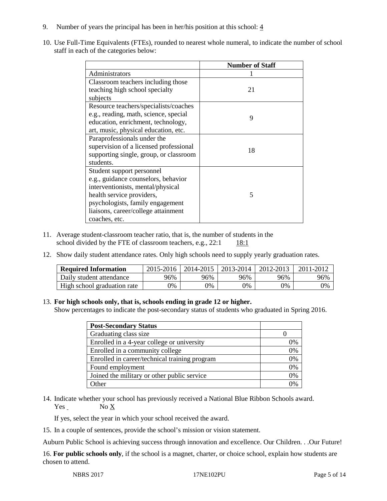- 9. Number of years the principal has been in her/his position at this school:  $\frac{4}{3}$
- 10. Use Full-Time Equivalents (FTEs), rounded to nearest whole numeral, to indicate the number of school staff in each of the categories below:

|                                        | <b>Number of Staff</b> |  |  |
|----------------------------------------|------------------------|--|--|
| Administrators                         |                        |  |  |
| Classroom teachers including those     |                        |  |  |
| teaching high school specialty         | 21                     |  |  |
| subjects                               |                        |  |  |
| Resource teachers/specialists/coaches  |                        |  |  |
| e.g., reading, math, science, special  | 9                      |  |  |
| education, enrichment, technology,     |                        |  |  |
| art, music, physical education, etc.   |                        |  |  |
| Paraprofessionals under the            |                        |  |  |
| supervision of a licensed professional | 18                     |  |  |
| supporting single, group, or classroom |                        |  |  |
| students.                              |                        |  |  |
| Student support personnel              |                        |  |  |
| e.g., guidance counselors, behavior    |                        |  |  |
| interventionists, mental/physical      |                        |  |  |
| health service providers,              | 5                      |  |  |
| psychologists, family engagement       |                        |  |  |
| liaisons, career/college attainment    |                        |  |  |
| coaches, etc.                          |                        |  |  |

- 11. Average student-classroom teacher ratio, that is, the number of students in the school divided by the FTE of classroom teachers, e.g.,  $22:1$  18:1
- 12. Show daily student attendance rates. Only high schools need to supply yearly graduation rates.

| <b>Required Information</b> | 2015-2016 | 2014-2015 | 2013-2014 | 2012-2013 |     |
|-----------------------------|-----------|-----------|-----------|-----------|-----|
| Daily student attendance    | 96%       | 96%       | 96%       | 96%       | 96% |
| High school graduation rate | 0%        | 0%        | 0%        | 9%        | 0%  |

#### 13. **For high schools only, that is, schools ending in grade 12 or higher.**

Show percentages to indicate the post-secondary status of students who graduated in Spring 2016.

| <b>Post-Secondary Status</b>                  |    |
|-----------------------------------------------|----|
| Graduating class size                         |    |
| Enrolled in a 4-year college or university    | 0% |
| Enrolled in a community college               | 0% |
| Enrolled in career/technical training program | 0% |
| Found employment                              | 0% |
| Joined the military or other public service   | 0% |
| Other                                         |    |

14. Indicate whether your school has previously received a National Blue Ribbon Schools award.  $Yes$  No  $X$ 

If yes, select the year in which your school received the award.

15. In a couple of sentences, provide the school's mission or vision statement.

Auburn Public School is achieving success through innovation and excellence. Our Children. . .Our Future!

16. **For public schools only**, if the school is a magnet, charter, or choice school, explain how students are chosen to attend.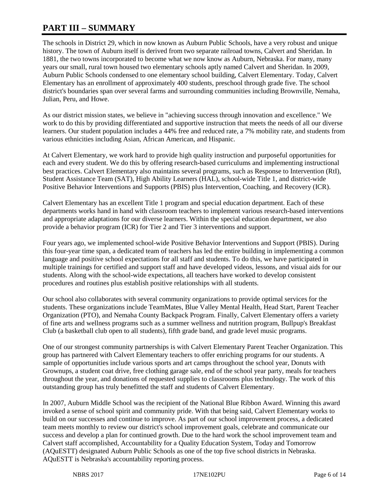# **PART III – SUMMARY**

The schools in District 29, which in now known as Auburn Public Schools, have a very robust and unique history. The town of Auburn itself is derived from two separate railroad towns, Calvert and Sheridan. In 1881, the two towns incorporated to become what we now know as Auburn, Nebraska. For many, many years our small, rural town housed two elementary schools aptly named Calvert and Sheridan. In 2009, Auburn Public Schools condensed to one elementary school building, Calvert Elementary. Today, Calvert Elementary has an enrollment of approximately 400 students, preschool through grade five. The school district's boundaries span over several farms and surrounding communities including Brownville, Nemaha, Julian, Peru, and Howe.

As our district mission states, we believe in "achieving success through innovation and excellence." We work to do this by providing differentiated and supportive instruction that meets the needs of all our diverse learners. Our student population includes a 44% free and reduced rate, a 7% mobility rate, and students from various ethnicities including Asian, African American, and Hispanic.

At Calvert Elementary, we work hard to provide high quality instruction and purposeful opportunities for each and every student. We do this by offering research-based curriculums and implementing instructional best practices. Calvert Elementary also maintains several programs, such as Response to Intervention (RtI), Student Assistance Team (SAT), High Ability Learners (HAL), school-wide Title 1, and district-wide Positive Behavior Interventions and Supports (PBIS) plus Intervention, Coaching, and Recovery (ICR).

Calvert Elementary has an excellent Title 1 program and special education department. Each of these departments works hand in hand with classroom teachers to implement various research-based interventions and appropriate adaptations for our diverse learners. Within the special education department, we also provide a behavior program (ICR) for Tier 2 and Tier 3 interventions and support.

Four years ago, we implemented school-wide Positive Behavior Interventions and Support (PBIS). During this four-year time span, a dedicated team of teachers has led the entire building in implementing a common language and positive school expectations for all staff and students. To do this, we have participated in multiple trainings for certified and support staff and have developed videos, lessons, and visual aids for our students. Along with the school-wide expectations, all teachers have worked to develop consistent procedures and routines plus establish positive relationships with all students.

Our school also collaborates with several community organizations to provide optimal services for the students. These organizations include TeamMates, Blue Valley Mental Health, Head Start, Parent Teacher Organization (PTO), and Nemaha County Backpack Program. Finally, Calvert Elementary offers a variety of fine arts and wellness programs such as a summer wellness and nutrition program, Bullpup's Breakfast Club (a basketball club open to all students), fifth grade band, and grade level music programs.

One of our strongest community partnerships is with Calvert Elementary Parent Teacher Organization. This group has partnered with Calvert Elementary teachers to offer enriching programs for our students. A sample of opportunities include various sports and art camps throughout the school year, Donuts with Grownups, a student coat drive, free clothing garage sale, end of the school year party, meals for teachers throughout the year, and donations of requested supplies to classrooms plus technology. The work of this outstanding group has truly benefitted the staff and students of Calvert Elementary.

In 2007, Auburn Middle School was the recipient of the National Blue Ribbon Award. Winning this award invoked a sense of school spirit and community pride. With that being said, Calvert Elementary works to build on our successes and continue to improve. As part of our school improvement process, a dedicated team meets monthly to review our district's school improvement goals, celebrate and communicate our success and develop a plan for continued growth. Due to the hard work the school improvement team and Calvert staff accomplished, Accountability for a Quality Education System, Today and Tomorrow (AQuESTT) designated Auburn Public Schools as one of the top five school districts in Nebraska. AQuESTT is Nebraska's accountability reporting process.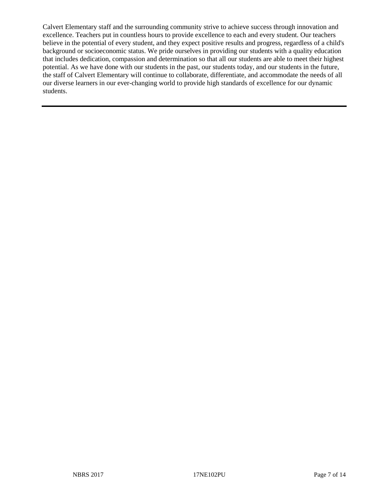Calvert Elementary staff and the surrounding community strive to achieve success through innovation and excellence. Teachers put in countless hours to provide excellence to each and every student. Our teachers believe in the potential of every student, and they expect positive results and progress, regardless of a child's background or socioeconomic status. We pride ourselves in providing our students with a quality education that includes dedication, compassion and determination so that all our students are able to meet their highest potential. As we have done with our students in the past, our students today, and our students in the future, the staff of Calvert Elementary will continue to collaborate, differentiate, and accommodate the needs of all our diverse learners in our ever-changing world to provide high standards of excellence for our dynamic students.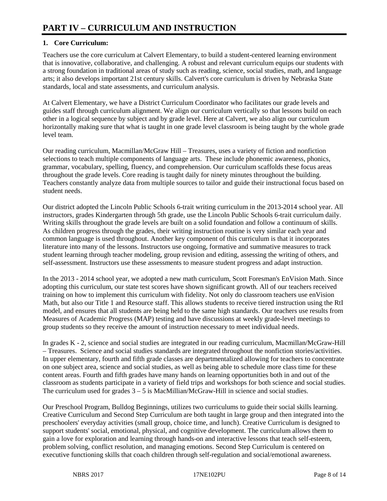## **1. Core Curriculum:**

Teachers use the core curriculum at Calvert Elementary, to build a student-centered learning environment that is innovative, collaborative, and challenging. A robust and relevant curriculum equips our students with a strong foundation in traditional areas of study such as reading, science, social studies, math, and language arts; it also develops important 21st century skills. Calvert's core curriculum is driven by Nebraska State standards, local and state assessments, and curriculum analysis.

At Calvert Elementary, we have a District Curriculum Coordinator who facilitates our grade levels and guides staff through curriculum alignment. We align our curriculum vertically so that lessons build on each other in a logical sequence by subject and by grade level. Here at Calvert, we also align our curriculum horizontally making sure that what is taught in one grade level classroom is being taught by the whole grade level team.

Our reading curriculum, Macmillan/McGraw Hill – Treasures, uses a variety of fiction and nonfiction selections to teach multiple components of language arts. These include phonemic awareness, phonics, grammar, vocabulary, spelling, fluency, and comprehension. Our curriculum scaffolds these focus areas throughout the grade levels. Core reading is taught daily for ninety minutes throughout the building. Teachers constantly analyze data from multiple sources to tailor and guide their instructional focus based on student needs.

Our district adopted the Lincoln Public Schools 6-trait writing curriculum in the 2013-2014 school year. All instructors, grades Kindergarten through 5th grade, use the Lincoln Public Schools 6-trait curriculum daily. Writing skills throughout the grade levels are built on a solid foundation and follow a continuum of skills. As children progress through the grades, their writing instruction routine is very similar each year and common language is used throughout. Another key component of this curriculum is that it incorporates literature into many of the lessons. Instructors use ongoing, formative and summative measures to track student learning through teacher modeling, group revision and editing, assessing the writing of others, and self-assessment. Instructors use these assessments to measure student progress and adapt instruction.

In the 2013 - 2014 school year, we adopted a new math curriculum, Scott Foresman's EnVision Math. Since adopting this curriculum, our state test scores have shown significant growth. All of our teachers received training on how to implement this curriculum with fidelity. Not only do classroom teachers use enVision Math, but also our Title 1 and Resource staff. This allows students to receive tiered instruction using the RtI model, and ensures that all students are being held to the same high standards. Our teachers use results from Measures of Academic Progress (MAP) testing and have discussions at weekly grade-level meetings to group students so they receive the amount of instruction necessary to meet individual needs.

In grades K - 2, science and social studies are integrated in our reading curriculum, Macmillan/McGraw-Hill – Treasures. Science and social studies standards are integrated throughout the nonfiction stories/activities. In upper elementary, fourth and fifth grade classes are departmentalized allowing for teachers to concentrate on one subject area, science and social studies, as well as being able to schedule more class time for these content areas. Fourth and fifth grades have many hands on learning opportunities both in and out of the classroom as students participate in a variety of field trips and workshops for both science and social studies. The curriculum used for grades  $3 - 5$  is MacMillian/McGraw-Hill in science and social studies.

Our Preschool Program, Bulldog Beginnings, utilizes two curriculums to guide their social skills learning. Creative Curriculum and Second Step Curriculum are both taught in large group and then integrated into the preschoolers' everyday activities (small group, choice time, and lunch). Creative Curriculum is designed to support students' social, emotional, physical, and cognitive development. The curriculum allows them to gain a love for exploration and learning through hands-on and interactive lessons that teach self-esteem, problem solving, conflict resolution, and managing emotions. Second Step Curriculum is centered on executive functioning skills that coach children through self-regulation and social/emotional awareness.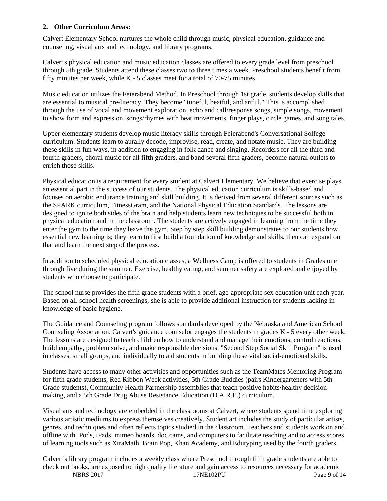#### **2. Other Curriculum Areas:**

Calvert Elementary School nurtures the whole child through music, physical education, guidance and counseling, visual arts and technology, and library programs.

Calvert's physical education and music education classes are offered to every grade level from preschool through 5th grade. Students attend these classes two to three times a week. Preschool students benefit from fifty minutes per week, while K - 5 classes meet for a total of 70-75 minutes.

Music education utilizes the Feierabend Method. In Preschool through 1st grade, students develop skills that are essential to musical pre-literacy. They become "tuneful, beatful, and artful." This is accomplished through the use of vocal and movement exploration, echo and call/response songs, simple songs, movement to show form and expression, songs/rhymes with beat movements, finger plays, circle games, and song tales.

Upper elementary students develop music literacy skills through Feierabend's Conversational Solfege curriculum. Students learn to aurally decode, improvise, read, create, and notate music. They are building these skills in fun ways, in addition to engaging in folk dance and singing. Recorders for all the third and fourth graders, choral music for all fifth graders, and band several fifth graders, become natural outlets to enrich those skills.

Physical education is a requirement for every student at Calvert Elementary. We believe that exercise plays an essential part in the success of our students. The physical education curriculum is skills-based and focuses on aerobic endurance training and skill building. It is derived from several different sources such as the SPARK curriculum, FitnessGram, and the National Physical Education Standards. The lessons are designed to ignite both sides of the brain and help students learn new techniques to be successful both in physical education and in the classroom. The students are actively engaged in learning from the time they enter the gym to the time they leave the gym. Step by step skill building demonstrates to our students how essential new learning is; they learn to first build a foundation of knowledge and skills, then can expand on that and learn the next step of the process.

In addition to scheduled physical education classes, a Wellness Camp is offered to students in Grades one through five during the summer. Exercise, healthy eating, and summer safety are explored and enjoyed by students who choose to participate.

The school nurse provides the fifth grade students with a brief, age-appropriate sex education unit each year. Based on all-school health screenings, she is able to provide additional instruction for students lacking in knowledge of basic hygiene.

The Guidance and Counseling program follows standards developed by the Nebraska and American School Counseling Association. Calvert's guidance counselor engages the students in grades K - 5 every other week. The lessons are designed to teach children how to understand and manage their emotions, control reactions, build empathy, problem solve, and make responsible decisions. "Second Step Social Skill Program" is used in classes, small groups, and individually to aid students in building these vital social-emotional skills.

Students have access to many other activities and opportunities such as the TeamMates Mentoring Program for fifth grade students, Red Ribbon Week activities, 5th Grade Buddies (pairs Kindergarteners with 5th Grade students), Community Health Partnership assemblies that teach positive habits/healthy decisionmaking, and a 5th Grade Drug Abuse Resistance Education (D.A.R.E.) curriculum.

Visual arts and technology are embedded in the classrooms at Calvert, where students spend time exploring various artistic mediums to express themselves creatively. Student art includes the study of particular artists, genres, and techniques and often reflects topics studied in the classroom. Teachers and students work on and offline with iPods, iPads, mimeo boards, doc cams, and computers to facilitate teaching and to access scores of learning tools such as XtraMath, Brain Pop, Khan Academy, and Edutyping used by the fourth graders.

NBRS 2017 17NE102PU Page 9 of 14 Calvert's library program includes a weekly class where Preschool through fifth grade students are able to check out books, are exposed to high quality literature and gain access to resources necessary for academic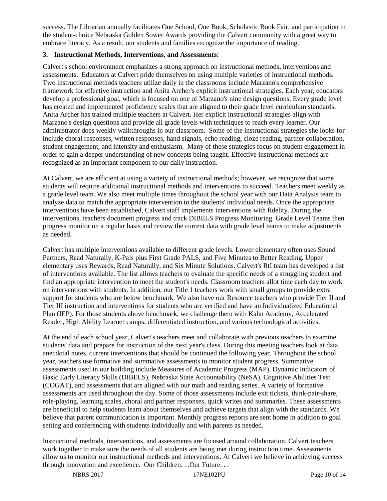success. The Librarian annually facilitates One School, One Book, Scholastic Book Fair, and participation in the student-choice Nebraska Golden Sower Awards providing the Calvert community with a great way to embrace literacy. As a result, our students and families recognize the importance of reading.

#### **3. Instructional Methods, Interventions, and Assessments:**

Calvert's school environment emphasizes a strong approach on instructional methods, interventions and assessments. Educators at Calvert pride themselves on using multiple varieties of instructional methods. Two instructional methods teachers utilize daily in the classrooms include Marzano's comprehensive framework for effective instruction and Anita Archer's explicit instructional strategies. Each year, educators develop a professional goal, which is focused on one of Marzano's nine design questions. Every grade level has created and implemented proficiency scales that are aligned to their grade level curriculum standards. Anita Archer has trained multiple teachers at Calvert. Her explicit instructional strategies align with Marzano's design questions and provide all grade levels with techniques to reach every learner. Our administrator does weekly walkthroughs in our classroom. Some of the instructional strategies she looks for include choral responses, written responses, hand signals, echo reading, cloze reading, partner collaboration, student engagement, and intensity and enthusiasm. Many of these strategies focus on student engagement in order to gain a deeper understanding of new concepts being taught. Effective instructional methods are recognized as an important component to our daily instruction.

At Calvert, we are efficient at using a variety of instructional methods; however, we recognize that some students will require additional instructional methods and interventions to succeed. Teachers meet weekly as a grade level team. We also meet multiple times throughout the school year with our Data Analysis team to analyze data to match the appropriate intervention to the students' individual needs. Once the appropriate interventions have been established, Calvert staff implements interventions with fidelity. During the interventions, teachers document progress and track DIBELS Progress Monitoring. Grade Level Teams then progress monitor on a regular basis and review the current data with grade level teams to make adjustments as needed.

Calvert has multiple interventions available to different grade levels. Lower elementary often uses Sound Partners, Read Naturally, K-Pals plus First Grade PALS, and Five Minutes to Better Reading. Upper elementary uses Rewards, Read Naturally, and Six Minute Solutions. Calvert's RtI team has developed a list of interventions available. The list allows teachers to evaluate the specific needs of a struggling student and find an appropriate intervention to meet the student's needs. Classroom teachers allot time each day to work on interventions with students. In addition, our Title 1 teachers work with small groups to provide extra support for students who are below benchmark. We also have our Resource teachers who provide Tier II and Tier III instruction and interventions for students who are verified and have an Individualized Educational Plan (IEP). For those students above benchmark, we challenge them with Kahn Academy, Accelerated Reader, High Ability Learner camps, differentiated instruction, and various technological activities.

At the end of each school year, Calvert's teachers meet and collaborate with previous teachers to examine students' data and prepare for instruction of the next year's class. During this meeting teachers look at data, anecdotal notes, current interventions that should be continued the following year. Throughout the school year, teachers use formative and summative assessments to monitor student progress. Summative assessments used in our building include Measures of Academic Progress (MAP), Dynamic Indicators of Basic Early Literacy Skills (DIBELS), Nebraska State Accountability (NeSA), Cognitive Abilities Test (COGAT), and assessments that are aligned with our math and reading series. A variety of formative assessments are used throughout the day. Some of those assessments include exit tickets, think-pair-share, role-playing, learning scales, choral and partner responses, quick writes and summaries. These assessments are beneficial to help students learn about themselves and achieve targets that align with the standards. We believe that parent communication is important. Monthly progress reports are sent home in addition to goal setting and conferencing with students individually and with parents as needed.

Instructional methods, interventions, and assessments are focused around collaboration. Calvert teachers work together to make sure the needs of all students are being met during instruction time. Assessments allow us to monitor our instructional methods and interventions. At Calvert we believe in achieving success through innovation and excellence. Our Children. . .Our Future. . .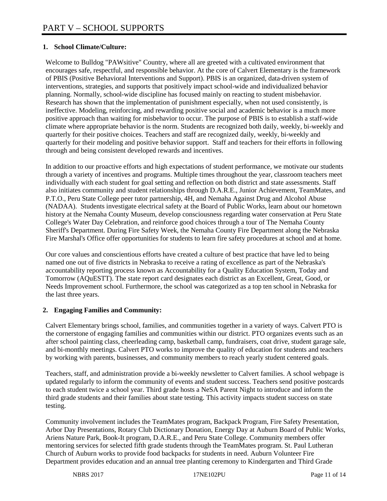## **1. School Climate/Culture:**

Welcome to Bulldog "PAWsitive" Country, where all are greeted with a cultivated environment that encourages safe, respectful, and responsible behavior. At the core of Calvert Elementary is the framework of PBIS (Positive Behavioral Interventions and Support). PBIS is an organized, data-driven system of interventions, strategies, and supports that positively impact school-wide and individualized behavior planning. Normally, school-wide discipline has focused mainly on reacting to student misbehavior. Research has shown that the implementation of punishment especially, when not used consistently, is ineffective. Modeling, reinforcing, and rewarding positive social and academic behavior is a much more positive approach than waiting for misbehavior to occur. The purpose of PBIS is to establish a staff-wide climate where appropriate behavior is the norm. Students are recognized both daily, weekly, bi-weekly and quarterly for their positive choices. Teachers and staff are recognized daily, weekly, bi-weekly and quarterly for their modeling and positive behavior support. Staff and teachers for their efforts in following through and being consistent developed rewards and incentives.

In addition to our proactive efforts and high expectations of student performance, we motivate our students through a variety of incentives and programs. Multiple times throughout the year, classroom teachers meet individually with each student for goal setting and reflection on both district and state assessments. Staff also initiates community and student relationships through D.A.R.E., Junior Achievement, TeamMates, and P.T.O., Peru State College peer tutor partnership, 4H, and Nemaha Against Drug and Alcohol Abuse (NADAA). Students investigate electrical safety at the Board of Public Works, learn about our hometown history at the Nemaha County Museum, develop consciousness regarding water conservation at Peru State College's Water Day Celebration, and reinforce good choices through a tour of The Nemaha County Sheriff's Department. During Fire Safety Week, the Nemaha County Fire Department along the Nebraska Fire Marshal's Office offer opportunities for students to learn fire safety procedures at school and at home.

Our core values and conscientious efforts have created a culture of best practice that have led to being named one out of five districts in Nebraska to receive a rating of excellence as part of the Nebraska's accountability reporting process known as Accountability for a Quality Education System, Today and Tomorrow (AQuESTT). The state report card designates each district as an Excellent, Great, Good, or Needs Improvement school. Furthermore, the school was categorized as a top ten school in Nebraska for the last three years.

#### **2. Engaging Families and Community:**

Calvert Elementary brings school, families, and communities together in a variety of ways. Calvert PTO is the cornerstone of engaging families and communities within our district. PTO organizes events such as an after school painting class, cheerleading camp, basketball camp, fundraisers, coat drive, student garage sale, and bi-monthly meetings. Calvert PTO works to improve the quality of education for students and teachers by working with parents, businesses, and community members to reach yearly student centered goals.

Teachers, staff, and administration provide a bi-weekly newsletter to Calvert families. A school webpage is updated regularly to inform the community of events and student success. Teachers send positive postcards to each student twice a school year. Third grade hosts a NeSA Parent Night to introduce and inform the third grade students and their families about state testing. This activity impacts student success on state testing.

Community involvement includes the TeamMates program, Backpack Program, Fire Safety Presentation, Arbor Day Presentations, Rotary Club Dictionary Donation, Energy Day at Auburn Board of Public Works, Ariens Nature Park, Book-It program, D.A.R.E., and Peru State College. Community members offer mentoring services for selected fifth grade students through the TeamMates program. St. Paul Lutheran Church of Auburn works to provide food backpacks for students in need. Auburn Volunteer Fire Department provides education and an annual tree planting ceremony to Kindergarten and Third Grade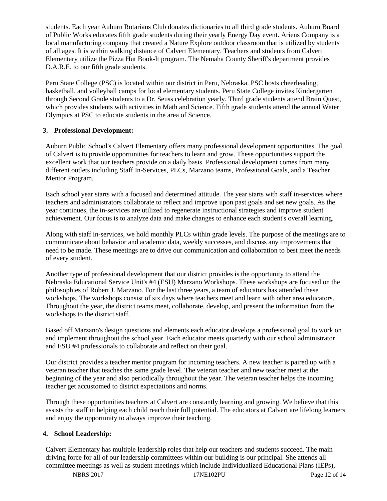students. Each year Auburn Rotarians Club donates dictionaries to all third grade students. Auburn Board of Public Works educates fifth grade students during their yearly Energy Day event. Ariens Company is a local manufacturing company that created a Nature Explore outdoor classroom that is utilized by students of all ages. It is within walking distance of Calvert Elementary. Teachers and students from Calvert Elementary utilize the Pizza Hut Book-It program. The Nemaha County Sheriff's department provides D.A.R.E. to our fifth grade students.

Peru State College (PSC) is located within our district in Peru, Nebraska. PSC hosts cheerleading, basketball, and volleyball camps for local elementary students. Peru State College invites Kindergarten through Second Grade students to a Dr. Seuss celebration yearly. Third grade students attend Brain Quest, which provides students with activities in Math and Science. Fifth grade students attend the annual Water Olympics at PSC to educate students in the area of Science.

## **3. Professional Development:**

Auburn Public School's Calvert Elementary offers many professional development opportunities. The goal of Calvert is to provide opportunities for teachers to learn and grow. These opportunities support the excellent work that our teachers provide on a daily basis. Professional development comes from many different outlets including Staff In-Services, PLCs, Marzano teams, Professional Goals, and a Teacher Mentor Program.

Each school year starts with a focused and determined attitude. The year starts with staff in-services where teachers and administrators collaborate to reflect and improve upon past goals and set new goals. As the year continues, the in-services are utilized to regenerate instructional strategies and improve student achievement. Our focus is to analyze data and make changes to enhance each student's overall learning.

Along with staff in-services, we hold monthly PLCs within grade levels. The purpose of the meetings are to communicate about behavior and academic data, weekly successes, and discuss any improvements that need to be made. These meetings are to drive our communication and collaboration to best meet the needs of every student.

Another type of professional development that our district provides is the opportunity to attend the Nebraska Educational Service Unit's #4 (ESU) Marzano Workshops. These workshops are focused on the philosophies of Robert J. Marzano. For the last three years, a team of educators has attended these workshops. The workshops consist of six days where teachers meet and learn with other area educators. Throughout the year, the district teams meet, collaborate, develop, and present the information from the workshops to the district staff.

Based off Marzano's design questions and elements each educator develops a professional goal to work on and implement throughout the school year. Each educator meets quarterly with our school administrator and ESU #4 professionals to collaborate and reflect on their goal.

Our district provides a teacher mentor program for incoming teachers. A new teacher is paired up with a veteran teacher that teaches the same grade level. The veteran teacher and new teacher meet at the beginning of the year and also periodically throughout the year. The veteran teacher helps the incoming teacher get accustomed to district expectations and norms.

Through these opportunities teachers at Calvert are constantly learning and growing. We believe that this assists the staff in helping each child reach their full potential. The educators at Calvert are lifelong learners and enjoy the opportunity to always improve their teaching.

## **4. School Leadership:**

Calvert Elementary has multiple leadership roles that help our teachers and students succeed. The main driving force for all of our leadership committees within our building is our principal. She attends all committee meetings as well as student meetings which include Individualized Educational Plans (IEPs),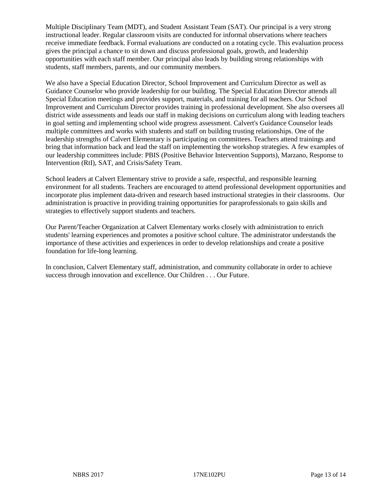Multiple Disciplinary Team (MDT), and Student Assistant Team (SAT). Our principal is a very strong instructional leader. Regular classroom visits are conducted for informal observations where teachers receive immediate feedback. Formal evaluations are conducted on a rotating cycle. This evaluation process gives the principal a chance to sit down and discuss professional goals, growth, and leadership opportunities with each staff member. Our principal also leads by building strong relationships with students, staff members, parents, and our community members.

We also have a Special Education Director, School Improvement and Curriculum Director as well as Guidance Counselor who provide leadership for our building. The Special Education Director attends all Special Education meetings and provides support, materials, and training for all teachers. Our School Improvement and Curriculum Director provides training in professional development. She also oversees all district wide assessments and leads our staff in making decisions on curriculum along with leading teachers in goal setting and implementing school wide progress assessment. Calvert's Guidance Counselor leads multiple committees and works with students and staff on building trusting relationships. One of the leadership strengths of Calvert Elementary is participating on committees. Teachers attend trainings and bring that information back and lead the staff on implementing the workshop strategies. A few examples of our leadership committees include: PBIS (Positive Behavior Intervention Supports), Marzano, Response to Intervention (RtI), SAT, and Crisis/Safety Team.

School leaders at Calvert Elementary strive to provide a safe, respectful, and responsible learning environment for all students. Teachers are encouraged to attend professional development opportunities and incorporate plus implement data-driven and research based instructional strategies in their classrooms. Our administration is proactive in providing training opportunities for paraprofessionals to gain skills and strategies to effectively support students and teachers.

Our Parent/Teacher Organization at Calvert Elementary works closely with administration to enrich students' learning experiences and promotes a positive school culture. The administrator understands the importance of these activities and experiences in order to develop relationships and create a positive foundation for life-long learning.

In conclusion, Calvert Elementary staff, administration, and community collaborate in order to achieve success through innovation and excellence. Our Children . . . Our Future.